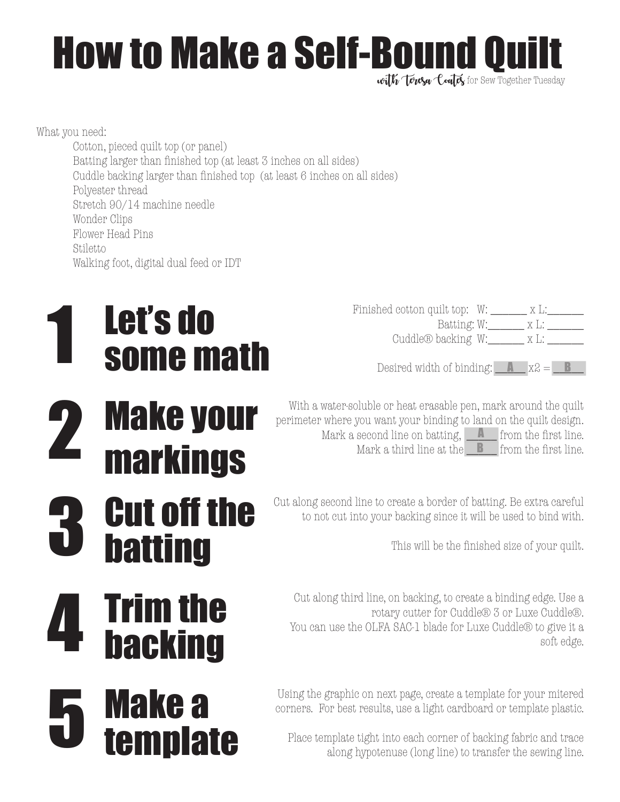## How to Make a Self-Bound Quilt

with Tonsa Could for Sew Together Tuesday

What you need:

Cotton, pieced quilt top (or panel) Batting larger than finished top (at least 3 inches on all sides) Cuddle backing larger than finished top (at least 6 inches on all sides) Polyester thread Stretch 90/14 machine needle Wonder Clips Flower Head Pins **Stiletto** Walking foot, digital dual feed or IDT

### Eesired width of binding:  $X = 1$ <br>
Some math besired width of binding:  $X = 1$ <br>  $X = 2$ <br>  $X = 3$ Let's do

- markings
- **Cut off the** <sup>Cut along second line to create a border of batting. Be extra careful to not cut into your backing since it will be used to bind with.<br>This will be the finished size of your quilt.</sup> batting

Trim the

backing

template

Finished cotton quilt top: W: \_\_\_\_\_\_\_ x L:\_\_\_\_\_\_\_\_ Batting: W:\_\_\_\_\_\_ x L: \_\_\_\_\_\_

Desired width of binding:  $\Box$  x2 =  $\Box$ 

With a water-soluble or heat erasable pen, mark around the quilt perimeter where you want your binding to land on the quilt design. Mark a second line on batting, <u>a second</u> the first line.<br>Mark a second line on batting, **a** from the first line.<br>Mark a third line at the **a** from the first line. Mark a third line at the  $\Box$  from the first line. Mark a second line on batting,  $\Box$  from the first line.

Cut along second line to create a border of batting. Be extra careful

Cut along third line, on backing, to create a binding edge. Use a rotary cutter for Cuddle® 3 or Luxe Cuddle®. You can use the OLFA SAC-1 blade for Luxe Cuddle® to give it a 4 soft edge.<br>
You can use the OLFA SAC-1 blade for Luxe Cuddle® to give it a 4 soft edge.

> Using the graphic on next page, create a template for your mitered corners. For best results, use a light cardboard or template plastic.

**Place template tight into each corner of backing fabric and trace**<br> **Make along hypotenuse** (long line) to transfer the sewing line.